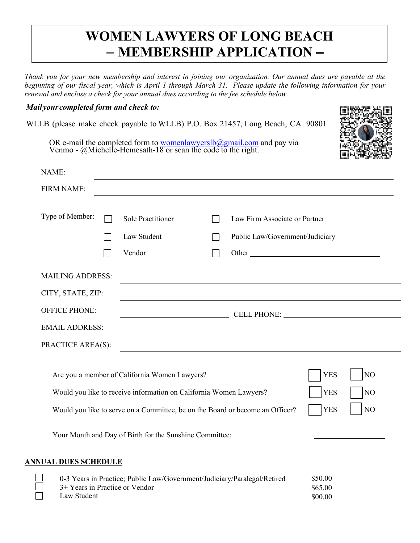## **WOMEN LAWYERS OF LONG BEACH** – **MEMBERSHIP APPLICATION –**

*Thank you for your new membership and interest in joining our organization. Our annual dues are payable at the beginning of our fiscal year, which is April 1 through March 31. Please update the following information for your renewal and enclose a check for your annual dues according to the fee schedule below.* 

## *Mail your completed form and check to:*

WLLB (please make check payable to WLLB) P.O. Box 21457, Long Beach, CA 90801



OR e-mail the completed form to womenlawyerslb@gmail.com and pay via Venmo - @Michelle-Hemesath-18 or scan the code to the right.

| NAME:                       |                                                                                                                                                                                                      |                          |                                                               |                                        |                |
|-----------------------------|------------------------------------------------------------------------------------------------------------------------------------------------------------------------------------------------------|--------------------------|---------------------------------------------------------------|----------------------------------------|----------------|
| <b>FIRM NAME:</b>           |                                                                                                                                                                                                      |                          |                                                               |                                        |                |
| Type of Member:             | <b>Sole Practitioner</b>                                                                                                                                                                             | $\overline{\phantom{a}}$ | Law Firm Associate or Partner                                 |                                        |                |
|                             | Law Student                                                                                                                                                                                          |                          | Public Law/Government/Judiciary                               |                                        |                |
|                             | Vendor                                                                                                                                                                                               |                          |                                                               |                                        |                |
| <b>MAILING ADDRESS:</b>     |                                                                                                                                                                                                      |                          |                                                               |                                        |                |
| CITY, STATE, ZIP:           |                                                                                                                                                                                                      |                          |                                                               |                                        |                |
| <b>OFFICE PHONE:</b>        | <b>CELL PHONE:</b> <u>CELL PHONE:</u>                                                                                                                                                                |                          |                                                               |                                        |                |
| <b>EMAIL ADDRESS:</b>       |                                                                                                                                                                                                      |                          |                                                               |                                        |                |
| PRACTICE AREA(S):           |                                                                                                                                                                                                      |                          | <u> 1989 - Johann Stein, mars an deutscher Stein († 1989)</u> |                                        |                |
|                             | Are you a member of California Women Lawyers?<br>Would you like to receive information on California Women Lawyers?<br>Would you like to serve on a Committee, be on the Board or become an Officer? |                          |                                                               | <b>YES</b><br><b>YES</b><br><b>YES</b> | NO<br>NO<br>NO |
|                             | Your Month and Day of Birth for the Sunshine Committee:                                                                                                                                              |                          |                                                               |                                        |                |
| <b>ANNUAL DUES SCHEDULE</b> |                                                                                                                                                                                                      |                          |                                                               |                                        |                |
|                             | 0-3 Years in Practice: Public Law/Government/Judiciary/Paralegal/Retired                                                                                                                             |                          |                                                               | \$50.00                                |                |

| 0-3 Years in Practice; Public Law/Government/Judiciary/Paralegal/Retired | \$50.00 |
|--------------------------------------------------------------------------|---------|
| 3+ Years in Practice or Vendor                                           | \$65.00 |
| Law Student                                                              | \$00.00 |